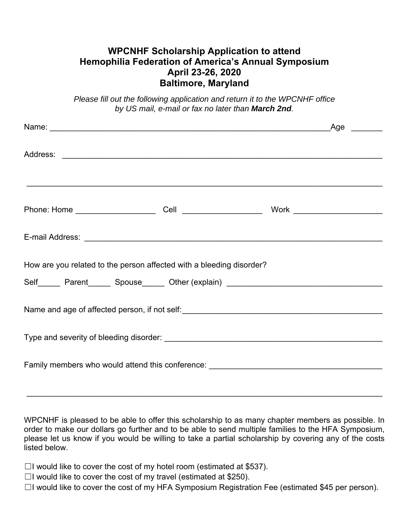## **WPCNHF Scholarship Application to attend Hemophilia Federation of America's Annual Symposium April 23-26, 2020 Baltimore, Maryland**

*Please fill out the following application and return it to the WPCNHF office by US mail, e-mail or fax no later than March 2nd.* 

| Name: Name: Name: Name: Name: Name: Name: Name: Name: Name: Name: Name: Name: Name: Name: Name: Name: Name: Name: Name: Name: Name: Name: Name: Name: Name: Name: Name: Name: Name: Name: Name: Name: Name: Name: Name: Name: |  |  | Age |  |
|-------------------------------------------------------------------------------------------------------------------------------------------------------------------------------------------------------------------------------|--|--|-----|--|
|                                                                                                                                                                                                                               |  |  |     |  |
|                                                                                                                                                                                                                               |  |  |     |  |
|                                                                                                                                                                                                                               |  |  |     |  |
| How are you related to the person affected with a bleeding disorder?<br>Self Parent Spouse Other (explain) COME FORE PRIMAGES                                                                                                 |  |  |     |  |
|                                                                                                                                                                                                                               |  |  |     |  |
|                                                                                                                                                                                                                               |  |  |     |  |
| Family members who would attend this conference: ________________________________                                                                                                                                             |  |  |     |  |

WPCNHF is pleased to be able to offer this scholarship to as many chapter members as possible. In order to make our dollars go further and to be able to send multiple families to the HFA Symposium, please let us know if you would be willing to take a partial scholarship by covering any of the costs listed below.

\_\_\_\_\_\_\_\_\_\_\_\_\_\_\_\_\_\_\_\_\_\_\_\_\_\_\_\_\_\_\_\_\_\_\_\_\_\_\_\_\_\_\_\_\_\_\_\_\_\_\_\_\_\_\_\_\_\_\_\_\_\_\_\_\_\_\_\_\_\_\_\_\_\_\_\_\_\_\_\_

 $\Box$ I would like to cover the cost of my hotel room (estimated at \$537).

 $\Box$ I would like to cover the cost of my travel (estimated at \$250).

☐I would like to cover the cost of my HFA Symposium Registration Fee (estimated \$45 per person).